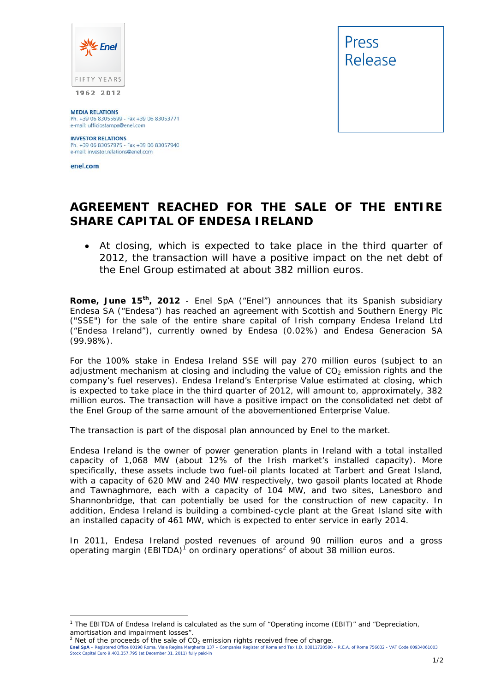

**MEDIA RELATIONS** Ph. +39 06 83055699 - Fax +39 06 83053771<br>e-mail: ufficiostampa@enel.com

## **INVESTOR RELATIONS**

Ph. +39 06 83057975 - Fax +39 06 83057940 e-mail: investor.relations@enel.com

enel.com

l



## **AGREEMENT REACHED FOR THE SALE OF THE ENTIRE SHARE CAPITAL OF ENDESA IRELAND**

• At closing, which is expected to take place in the third quarter of *2012, the transaction will have a positive impact on the net debt of the Enel Group estimated at about 382 million euros.*

**Rome, June 15th, 2012** - Enel SpA ("Enel") announces that its Spanish subsidiary Endesa SA ("Endesa") has reached an agreement with Scottish and Southern Energy Plc ("SSE") for the sale of the entire share capital of Irish company Endesa Ireland Ltd ("Endesa Ireland"), currently owned by Endesa (0.02%) and Endesa Generacion SA (99.98%).

For the 100% stake in Endesa Ireland SSE will pay 270 million euros (subject to an adjustment mechanism at closing and including the value of  $CO<sub>2</sub>$  emission rights and the company's fuel reserves). Endesa Ireland's Enterprise Value estimated at closing, which is expected to take place in the third quarter of 2012, will amount to, approximately, 382 million euros. The transaction will have a positive impact on the consolidated net debt of the Enel Group of the same amount of the abovementioned Enterprise Value.

The transaction is part of the disposal plan announced by Enel to the market.

Endesa Ireland is the owner of power generation plants in Ireland with a total installed capacity of 1,068 MW (about 12% of the Irish market's installed capacity). More specifically, these assets include two fuel-oil plants located at Tarbert and Great Island, with a capacity of 620 MW and 240 MW respectively, two gasoil plants located at Rhode and Tawnaghmore, each with a capacity of 104 MW, and two sites, Lanesboro and Shannonbridge, that can potentially be used for the construction of new capacity. In addition, Endesa Ireland is building a combined-cycle plant at the Great Island site with an installed capacity of 461 MW, which is expected to enter service in early 2014.

In 2011, Endesa Ireland posted revenues of around 90 million euros and a gross operating margin (EBITDA)<sup>1</sup> on ordinary operations<sup>2</sup> of about 38 million euros.

**Enel SpA** – Registered Office 00198 Roma, Viale Regina Margherita 137 – Companies Register of Roma and Tax I.D. 00811720580 – R.E.A. of Roma 756032 - VAT Code 00934061003 Stock Capital Euro 9,403,357,795 (at December 31, 2011) fully paid-in  $1/2$ 

<sup>&</sup>lt;sup>1</sup> The EBITDA of Endesa Ireland is calculated as the sum of "Operating income (EBIT)" and "Depreciation, amortisation and impairment losses".

 $2$  Net of the proceeds of the sale of CO<sub>2</sub> emission rights received free of charge.